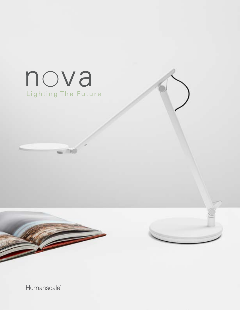

Humanscale<sup>®</sup>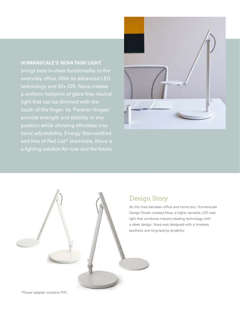**HUMANSCALE'S NOVA TASK LIGHT** brings best-in-class functionality to the everyday office. With its advanced LED technology and 92+ CRI, Nova creates a uniform footprint of glare-free neutral light that can be dimmed with the touch of the finger. Its 'Forever Hinges' provide strength and stability in any position while allowing effortless onehand adjustability. Energy Star-certified and free of Red List\* chemicals, Nova is a lighting solution for now and the future.





#### Design Story

As the lines between office and home blur, Humanscale Design Studio created Nova, a highly versatile LED task light that combines industry-leading technology with a sleek design. Nova was designed with a timeless aesthetic and long-lasting durability.